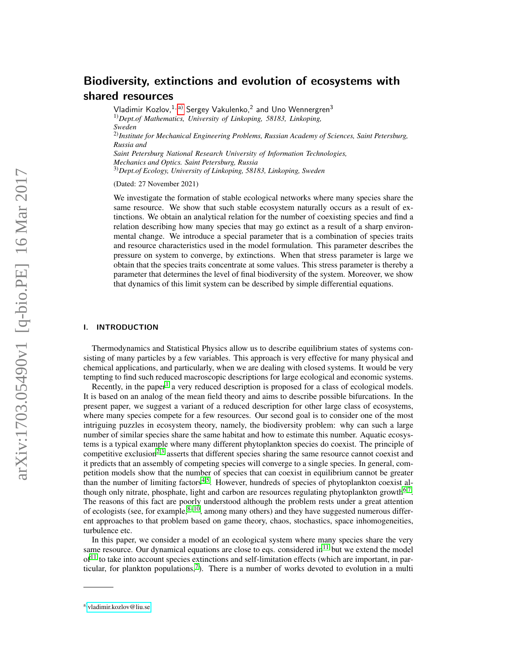# Biodiversity, extinctions and evolution of ecosystems with shared resources

Vladimir Kozlov, $^{1,\mathrm{a)}}$  $^{1,\mathrm{a)}}$  $^{1,\mathrm{a)}}$  Sergey Vakulenko, $^2$  and Uno Wennergren $^3$ 1)*Dept.of Mathematics, University of Linkoping, 58183, Linkoping, Sweden* 2)*Institute for Mechanical Engineering Problems, Russian Academy of Sciences, Saint Petersburg, Russia and Saint Petersburg National Research University of Information Technologies, Mechanics and Optics. Saint Petersburg, Russia* 3)*Dept.of Ecology, University of Linkoping, 58183, Linkoping, Sweden*

(Dated: 27 November 2021)

We investigate the formation of stable ecological networks where many species share the same resource. We show that such stable ecosystem naturally occurs as a result of extinctions. We obtain an analytical relation for the number of coexisting species and find a relation describing how many species that may go extinct as a result of a sharp environmental change. We introduce a special parameter that is a combination of species traits and resource characteristics used in the model formulation. This parameter describes the pressure on system to converge, by extinctions. When that stress parameter is large we obtain that the species traits concentrate at some values. This stress parameter is thereby a parameter that determines the level of final biodiversity of the system. Moreover, we show that dynamics of this limit system can be described by simple differential equations.

## I. INTRODUCTION

Thermodynamics and Statistical Physics allow us to describe equilibrium states of systems consisting of many particles by a few variables. This approach is very effective for many physical and chemical applications, and particularly, when we are dealing with closed systems. It would be very tempting to find such reduced macroscopic descriptions for large ecological and economic systems.

Recently, in the paper<sup>[1](#page-16-0)</sup> a very reduced description is proposed for a class of ecological models. It is based on an analog of the mean field theory and aims to describe possible bifurcations. In the present paper, we suggest a variant of a reduced description for other large class of ecosystems, where many species compete for a few resources. Our second goal is to consider one of the most intriguing puzzles in ecosystem theory, namely, the biodiversity problem: why can such a large number of similar species share the same habitat and how to estimate this number. Aquatic ecosystems is a typical example where many different phytoplankton species do coexist. The principle of competitive exclusion<sup> $2,3$  $2,3$ </sup> asserts that different species sharing the same resource cannot coexist and it predicts that an assembly of competing species will converge to a single species. In general, competition models show that the number of species that can coexist in equilibrium cannot be greater than the number of limiting factors<sup>[4,](#page-16-3)[5](#page-16-4)</sup>. However, hundreds of species of phytoplankton coexist although only nitrate, phosphate, light and carbon are resources regulating phytoplankton growth $6.7$  $6.7$ . The reasons of this fact are poorly understood although the problem rests under a great attention of ecologists (see, for example,  $8-10$  $8-10$ , among many others) and they have suggested numerous different approaches to that problem based on game theory, chaos, stochastics, space inhomogeneities, turbulence etc.

In this paper, we consider a model of an ecological system where many species share the very same resource. Our dynamical equations are close to eqs. considered  $\text{in}^{11}$  $\text{in}^{11}$  $\text{in}^{11}$  but we extend the model  $of<sup>11</sup>$  $of<sup>11</sup>$  $of<sup>11</sup>$  to take into account species extinctions and self-limitation effects (which are important, in par-ticular, for plankton populations,<sup>[7](#page-16-6)</sup>). There is a number of works devoted to evolution in a multi

<span id="page-0-0"></span>a)[vladimir.kozlov@liu.se](mailto:vladimir.kozlov@liu.se)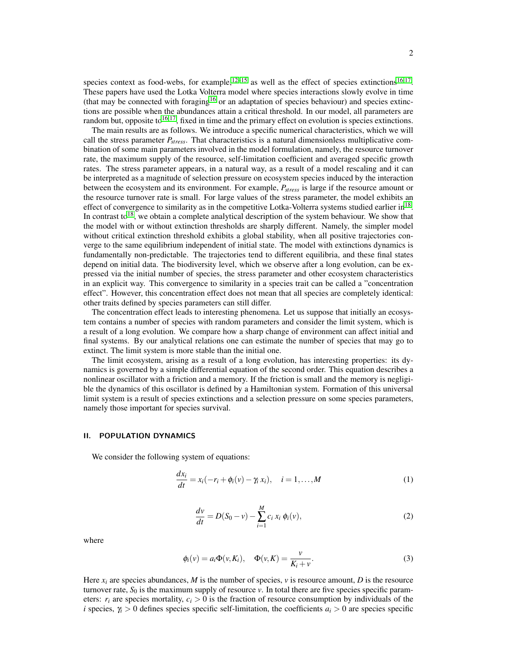species context as food-webs, for example,  $12-15$  $12-15$  as well as the effect of species extinctions  $16,17$  $16,17$ . These papers have used the Lotka Volterra model where species interactions slowly evolve in time (that may be connected with foraging<sup>[16](#page-16-12)</sup> or an adaptation of species behaviour) and species extinctions are possible when the abundances attain a critical threshold. In our model, all parameters are random but, opposite to  $16,17$  $16,17$ , fixed in time and the primary effect on evolution is species extinctions.

The main results are as follows. We introduce a specific numerical characteristics, which we will call the stress parameter *Pstress*. That characteristics is a natural dimensionless multiplicative combination of some main parameters involved in the model formulation, namely, the resource turnover rate, the maximum supply of the resource, self-limitation coefficient and averaged specific growth rates. The stress parameter appears, in a natural way, as a result of a model rescaling and it can be interpreted as a magnitude of selection pressure on ecosystem species induced by the interaction between the ecosystem and its environment. For example, *Pstress* is large if the resource amount or the resource turnover rate is small. For large values of the stress parameter, the model exhibits an effect of convergence to similarity as in the competitive Lotka-Volterra systems studied earlier in<sup>[18](#page-16-14)</sup>. In contrast to<sup>[18](#page-16-14)</sup>, we obtain a complete analytical description of the system behaviour. We show that the model with or without extinction thresholds are sharply different. Namely, the simpler model without critical extinction threshold exhibits a global stability, when all positive trajectories converge to the same equilibrium independent of initial state. The model with extinctions dynamics is fundamentally non-predictable. The trajectories tend to different equilibria, and these final states depend on initial data. The biodiversity level, which we observe after a long evolution, can be expressed via the initial number of species, the stress parameter and other ecosystem characteristics in an explicit way. This convergence to similarity in a species trait can be called a "concentration effect". However, this concentration effect does not mean that all species are completely identical: other traits defined by species parameters can still differ.

The concentration effect leads to interesting phenomena. Let us suppose that initially an ecosystem contains a number of species with random parameters and consider the limit system, which is a result of a long evolution. We compare how a sharp change of environment can affect initial and final systems. By our analytical relations one can estimate the number of species that may go to extinct. The limit system is more stable than the initial one.

The limit ecosystem, arising as a result of a long evolution, has interesting properties: its dynamics is governed by a simple differential equation of the second order. This equation describes a nonlinear oscillator with a friction and a memory. If the friction is small and the memory is negligible the dynamics of this oscillator is defined by a Hamiltonian system. Formation of this universal limit system is a result of species extinctions and a selection pressure on some species parameters, namely those important for species survival.

## II. POPULATION DYNAMICS

We consider the following system of equations:

<span id="page-1-0"></span>
$$
\frac{dx_i}{dt} = x_i(-r_i + \phi_i(v) - \gamma_i x_i), \quad i = 1, \dots, M
$$
\n(1)

<span id="page-1-1"></span>
$$
\frac{dv}{dt} = D(S_0 - v) - \sum_{i=1}^{M} c_i x_i \phi_i(v),
$$
\n(2)

where

$$
\phi_i(v) = a_i \Phi(v, K_i), \quad \Phi(v, K) = \frac{v}{K_i + v}.
$$
\n(3)

Here  $x_i$  are species abundances, *M* is the number of species, *v* is resource amount, *D* is the resource turnover rate,  $S_0$  is the maximum supply of resource  $\nu$ . In total there are five species specific parameters:  $r_i$  are species mortality,  $c_i > 0$  is the fraction of resource consumption by individuals of the *i* species,  $\gamma$ *i* > 0 defines species specific self-limitation, the coefficients  $a$ *i* > 0 are species specific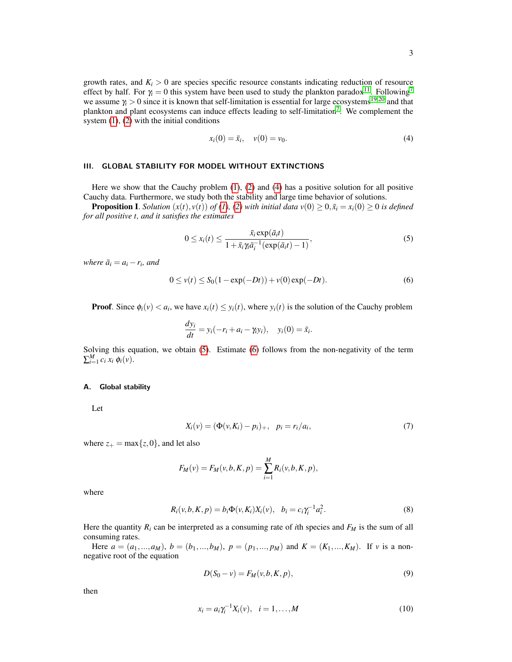growth rates, and  $K_i > 0$  are species specific resource constants indicating reduction of resource effect by half. For  $\gamma_i = 0$  this system have been used to study the plankton paradox<sup>[11](#page-16-9)</sup>. Following<sup>[7](#page-16-6)</sup> we assume  $\gamma_i > 0$  since it is known that self-limitation is essential for large ecosystems<sup>[19,](#page-16-15)[20](#page-16-16)</sup> and that plankton and plant ecosystems can induce effects leading to self-limitation<sup>[7](#page-16-6)</sup>. We complement the system [\(1\)](#page-1-0), [\(2\)](#page-1-1) with the initial conditions

<span id="page-2-0"></span>
$$
x_i(0) = \bar{x}_i, \quad v(0) = v_0.
$$
 (4)

# III. GLOBAL STABILITY FOR MODEL WITHOUT EXTINCTIONS

Here we show that the Cauchy problem  $(1)$ ,  $(2)$  and  $(4)$  has a positive solution for all positive Cauchy data. Furthermore, we study both the stability and large time behavior of solutions.

**Proposition I.** *Solution*  $(x(t), y(t))$  *of* [\(1\)](#page-1-0)*,* [\(2\)](#page-1-1) *with initial data*  $v(0) \ge 0$ ,  $\bar{x}_i = x_i(0) \ge 0$  *is defined for all positive t, and it satisfies the estimates*

<span id="page-2-1"></span>
$$
0 \le x_i(t) \le \frac{\bar{x}_i \exp(\bar{a}_i t)}{1 + \bar{x}_i \gamma_i \bar{a}_i^{-1} (\exp(\bar{a}_i t) - 1)},
$$
\n<sup>(5)</sup>

*where*  $\bar{a}_i = a_i - r_i$ *, and* 

<span id="page-2-2"></span>
$$
0 \le v(t) \le S_0(1 - \exp(-Dt)) + v(0) \exp(-Dt). \tag{6}
$$

**Proof.** Since  $\phi_i(v) < a_i$ , we have  $x_i(t) \leq y_i(t)$ , where  $y_i(t)$  is the solution of the Cauchy problem

$$
\frac{dy_i}{dt} = y_i(-r_i + a_i - \gamma_i y_i), \quad y_i(0) = \bar{x}_i.
$$

Solving this equation, we obtain [\(5\)](#page-2-1). Estimate [\(6\)](#page-2-2) follows from the non-negativity of the term  $\sum_{i=1}^{M} c_i x_i \phi_i(v)$ .

#### <span id="page-2-5"></span>A. Global stability

Let

$$
X_i(v) = (\Phi(v, K_i) - p_i)_+, \quad p_i = r_i/a_i,
$$
\n(7)

where  $z_+ = \max\{z, 0\}$ , and let also

$$
F_M(v) = F_M(v, b, K, p) = \sum_{i=1}^{M} R_i(v, b, K, p),
$$

where

$$
R_i(v, b, K, p) = b_i \Phi(v, K_i) X_i(v), \quad b_i = c_i \gamma_i^{-1} a_i^2.
$$
 (8)

Here the quantity  $R_i$  can be interpreted as a consuming rate of *i*th species and  $F_M$  is the sum of all consuming rates.

Here  $a = (a_1, ..., a_M)$ ,  $b = (b_1, ..., b_M)$ ,  $p = (p_1, ..., p_M)$  and  $K = (K_1, ..., K_M)$ . If *v* is a nonnegative root of the equation

<span id="page-2-3"></span>
$$
D(S_0 - v) = F_M(v, b, K, p),
$$
\n(9)

then

<span id="page-2-4"></span>
$$
x_i = a_i \gamma_i^{-1} X_i(v), \quad i = 1, ..., M
$$
 (10)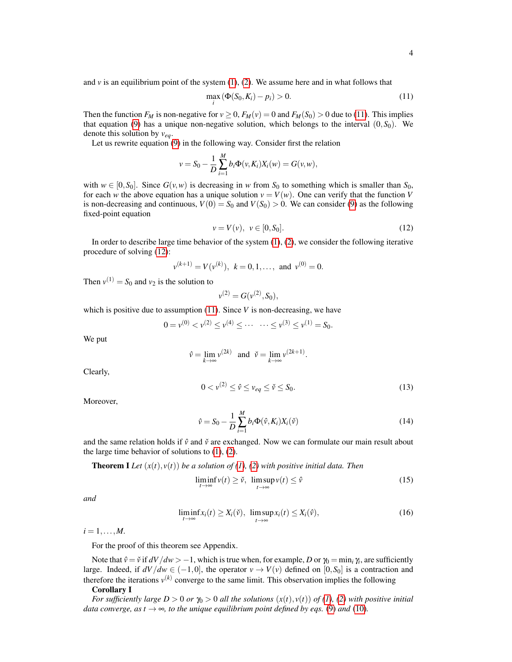and  $\nu$  is an equilibrium point of the system  $(1)$ ,  $(2)$ . We assume here and in what follows that

<span id="page-3-0"></span>
$$
\max_{i} \left( \Phi(S_0, K_i) - p_i \right) > 0. \tag{11}
$$

Then the function  $F_M$  is non-negative for  $v \ge 0$ ,  $F_M(v) = 0$  and  $F_M(S_0) > 0$  due to [\(11\)](#page-3-0). This implies that equation [\(9\)](#page-2-3) has a unique non-negative solution, which belongs to the interval  $(0, S_0)$ . We denote this solution by *veq*.

Let us rewrite equation [\(9\)](#page-2-3) in the following way. Consider first the relation

$$
v = S_0 - \frac{1}{D} \sum_{i=1}^{M} b_i \Phi(v, K_i) X_i(w) = G(v, w),
$$

with  $w \in [0, S_0]$ . Since  $G(v, w)$  is decreasing in *w* from  $S_0$  to something which is smaller than  $S_0$ , for each *w* the above equation has a unique solution  $v = V(w)$ . One can verify that the function *V* is non-decreasing and continuous,  $V(0) = S_0$  and  $V(S_0) > 0$ . We can consider [\(9\)](#page-2-3) as the following fixed-point equation

<span id="page-3-1"></span>
$$
v = V(v), \ v \in [0, S_0]. \tag{12}
$$

In order to describe large time behavior of the system  $(1)$ ,  $(2)$ , we consider the following iterative procedure of solving [\(12\)](#page-3-1):

$$
v^{(k+1)} = V(v^{(k)}), k = 0, 1, ...,
$$
 and  $v^{(0)} = 0.$ 

Then  $v^{(1)} = S_0$  and  $v_2$  is the solution to

$$
v^{(2)} = G(v^{(2)}, S_0),
$$

which is positive due to assumption [\(11\)](#page-3-0). Since *V* is non-decreasing, we have

$$
0 = v^{(0)} < v^{(2)} \le v^{(4)} \le \cdots \quad \cdots \le v^{(3)} \le v^{(1)} = S_0.
$$

We put

$$
\hat{v} = \lim_{k \to \infty} v^{(2k)} \quad \text{and} \quad \check{v} = \lim_{k \to \infty} v^{(2k+1)}.
$$

Clearly,

$$
0 < v^{(2)} \le \hat{v} \le v_{eq} \le \check{v} \le S_0. \tag{13}
$$

Moreover,

$$
\hat{v} = S_0 - \frac{1}{D} \sum_{i=1}^{M} b_i \Phi(\hat{v}, K_i) X_i(\check{v})
$$
\n(14)

and the same relation holds if  $\hat{v}$  and  $\check{v}$  are exchanged. Now we can formulate our main result about the large time behavior of solutions to  $(1)$ ,  $(2)$ .

**Theorem I** Let  $(x(t), y(t))$  be a solution of [\(1\)](#page-1-0), [\(2\)](#page-1-1) with positive initial data. Then

<span id="page-3-2"></span>
$$
\liminf_{t \to \infty} \nu(t) \ge \check{\nu}, \quad \limsup_{t \to \infty} \nu(t) \le \hat{\nu}
$$
\n(15)

*and*

<span id="page-3-3"></span>
$$
\liminf_{t \to \infty} x_i(t) \ge X_i(\tilde{\mathbf{v}}), \ \limsup_{t \to \infty} x_i(t) \le X_i(\hat{\mathbf{v}}),\tag{16}
$$

 $i = 1, \ldots, M$ .

For the proof of this theorem see Appendix.

Note that  $\hat{v} = \check{v}$  if  $dV/dw > -1$ , which is true when, for example, *D* or  $\gamma_0 = \min_i \gamma_i$ , are sufficiently large. Indeed, if  $dV/dw \in (-1,0]$ , the operator  $v \to V(v)$  defined on [0,*S*<sub>0</sub>] is a contraction and therefore the iterations  $v^{(k)}$  converge to the same limit. This observation implies the following Corollary I

*For sufficiently large D* > 0 *or*  $\gamma_0$  > 0 *all the solutions*  $(x(t), y(t))$  *of [\(1\)](#page-1-0), [\(2\)](#page-1-1) with positive initial data converge, as t*  $\rightarrow \infty$ *, to the unique equilibrium point defined by eqs.* [\(9\)](#page-2-3) *and* [\(10\)](#page-2-4)*.*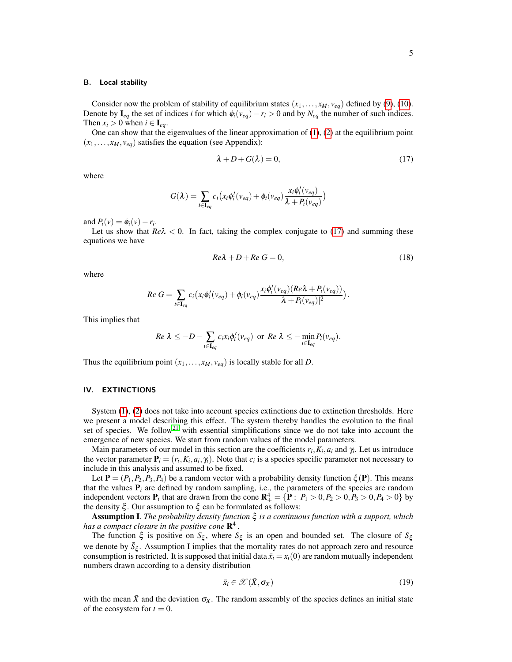#### B. Local stability

Consider now the problem of stability of equilibrium states  $(x_1, \ldots, x_M, v_{eq})$  defined by [\(9\)](#page-2-3), [\(10\)](#page-2-4). Denote by  $I_{eq}$  the set of indices *i* for which  $\phi_i(v_{eq}) - r_i > 0$  and by  $N_{eq}$  the number of such indices. Then  $x_i > 0$  when  $i \in I_{eq}$ .

One can show that the eigenvalues of the linear approximation of [\(1\)](#page-1-0), [\(2\)](#page-1-1) at the equilibrium point  $(x_1,..., x_M, v_{eq})$  satisfies the equation (see Appendix):

<span id="page-4-0"></span>
$$
\lambda + D + G(\lambda) = 0,\t(17)
$$

where

$$
G(\lambda) = \sum_{i \in \mathbf{I}_{eq}} c_i (x_i \phi'_i (v_{eq}) + \phi_i (v_{eq}) \frac{x_i \phi'_i (v_{eq})}{\lambda + P_i (v_{eq})})
$$

and  $P_i(v) = \phi_i(v) - r_i$ .

Let us show that  $Re\lambda < 0$ . In fact, taking the complex conjugate to [\(17\)](#page-4-0) and summing these equations we have

$$
Re\lambda + D + Re\ G = 0,\t(18)
$$

where

$$
Re\ G = \sum_{i \in \mathbf{I}_{eq}} c_i \big( x_i \phi'_i (v_{eq}) + \phi_i (v_{eq}) \frac{x_i \phi'_i (v_{eq}) (Re \lambda + P_i (v_{eq}))}{|\lambda + P_i (v_{eq})|^2} \big).
$$

This implies that

$$
Re \ \lambda \leq -D - \sum_{i \in \mathbf{I}_{eq}} c_i x_i \phi'_i (v_{eq}) \ \text{ or } Re \ \lambda \leq - \min_{i \in \mathbf{I}_{eq}} P_i (v_{eq}).
$$

Thus the equilibrium point  $(x_1,...,x_M, v_{eq})$  is locally stable for all *D*.

#### <span id="page-4-1"></span>IV. EXTINCTIONS

System [\(1\)](#page-1-0), [\(2\)](#page-1-1) does not take into account species extinctions due to extinction thresholds. Here we present a model describing this effect. The system thereby handles the evolution to the final set of species. We follow<sup>[21](#page-16-17)</sup> with essential simplifications since we do not take into account the emergence of new species. We start from random values of the model parameters.

Main parameters of our model in this section are the coefficients  $r_i, K_i, a_i$  and  $\gamma_i$ . Let us introduce the vector parameter  $P_i = (r_i, K_i, a_i, \gamma_i)$ . Note that  $c_i$  is a species specific parameter not necessary to include in this analysis and assumed to be fixed.

Let  $P = (P_1, P_2, P_3, P_4)$  be a random vector with a probability density function  $\xi(P)$ . This means that the values  $P_i$  are defined by random sampling, i.e., the parameters of the species are random independent vectors  $P_i$  that are drawn from the cone  $\mathbb{R}^4_+ = \{ \mathbb{P} : P_1 > 0, P_2 > 0, P_3 > 0, P_4 > 0 \}$  by the density  $\xi$ . Our assumption to  $\xi$  can be formulated as follows:

Assumption I. *The probability density function* ξ *is a continuous function with a support, which* has a compact closure in the positive cone  $\mathbf{R}^4_+.$ 

The function  $\xi$  is positive on  $S_{\xi}$ , where  $S_{\xi}$  is an open and bounded set. The closure of  $S_{\xi}$ we denote by  $\bar{S}_{\xi}$ . Assumption I implies that the mortality rates do not approach zero and resource consumption is restricted. It is supposed that initial data  $\bar{x}_i = x_i(0)$  are random mutually independent numbers drawn according to a density distribution

$$
\bar{x}_i \in \mathscr{X}(\bar{X}, \sigma_X) \tag{19}
$$

with the mean  $\bar{X}$  and the deviation  $\sigma_X$ . The random assembly of the species defines an initial state of the ecosystem for  $t = 0$ .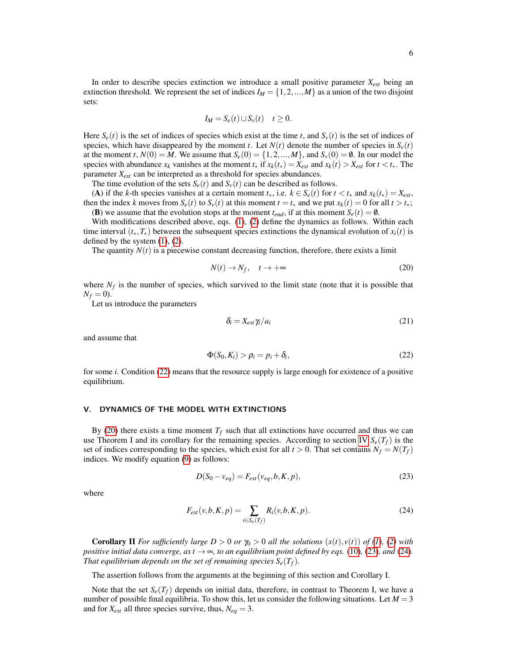$$
I_M = S_e(t) \cup S_v(t) \quad t \ge 0.
$$

Here  $S_e(t)$  is the set of indices of species which exist at the time *t*, and  $S_v(t)$  is the set of indices of species, which have disappeared by the moment *t*. Let  $N(t)$  denote the number of species in  $S<sub>v</sub>(t)$ at the moment *t*,  $N(0) = M$ . We assume that  $S_e(0) = \{1, 2, ..., M\}$ , and  $S_v(0) = \emptyset$ . In our model the species with abundance  $x_k$  vanishes at the moment  $t_*$  if  $x_k(t_*) = X_{ext}$  and  $x_k(t) > X_{ext}$  for  $t < t_*$ . The parameter *Xext* can be interpreted as a threshold for species abundances.

The time evolution of the sets  $S_e(t)$  and  $S_v(t)$  can be described as follows.

(A) if the *k*-th species vanishes at a certain moment  $t_*,$  i.e.  $k \in S_e(t)$  for  $t < t_*$  and  $x_k(t_*) = X_{ext}$ , then the index *k* moves from  $S_e(t)$  to  $S_v(t)$  at this moment  $t = t_*$  and we put  $x_k(t) = 0$  for all  $t > t_*$ ; (B) we assume that the evolution stops at the moment  $t_{end}$ , if at this moment  $S_e(t) = \emptyset$ .

With modifications described above, eqs.  $(1)$ ,  $(2)$  define the dynamics as follows. Within each time interval  $(t_*,T_*)$  between the subsequent species extinctions the dynamical evolution of  $x_i(t)$  is defined by the system  $(1)$ ,  $(2)$ .

The quantity  $N(t)$  is a piecewise constant decreasing function, therefore, there exists a limit

<span id="page-5-1"></span>
$$
N(t) \to N_f, \quad t \to +\infty \tag{20}
$$

where  $N_f$  is the number of species, which survived to the limit state (note that it is possible that  $N_f = 0$ ).

Let us introduce the parameters

$$
\delta_i = X_{ext} \gamma_i / a_i \tag{21}
$$

and assume that

<span id="page-5-0"></span>
$$
\Phi(S_0, K_i) > \rho_i = p_i + \delta_i, \tag{22}
$$

for some *i*. Condition [\(22\)](#page-5-0) means that the resource supply is large enough for existence of a positive equilibrium.

# V. DYNAMICS OF THE MODEL WITH EXTINCTIONS

By [\(20\)](#page-5-1) there exists a time moment  $T_f$  such that all extinctions have occurred and thus we can use Theorem I and its corollary for the remaining species. According to section [IV](#page-4-1)  $S_e(T_f)$  is the set of indices corresponding to the species, which exist for all  $t > 0$ . That set contains  $N_f = N(T_f)$ indices. We modify equation [\(9\)](#page-2-3) as follows:

<span id="page-5-2"></span>
$$
D(S_0 - v_{eq}) = F_{ext}(v_{eq}, b, K, p),
$$
\n(23)

where

<span id="page-5-3"></span>
$$
F_{ext}(v,b,K,p) = \sum_{i \in S_e(T_f)} R_i(v,b,K,p).
$$
\n(24)

**Corollary II** For sufficiently large  $D > 0$  or  $\gamma_0 > 0$  all the solutions  $(x(t), v(t))$  of [\(1\)](#page-1-0), [\(2\)](#page-1-1) with *positive initial data converge, as*  $t \rightarrow \infty$ *, to an equilibrium point defined by eqs.* [\(10\)](#page-2-4)*,* [\(23\)](#page-5-2)*, and* (24*). That equilibrium depends on the set of remaining species*  $S_e(T_f)$ *.* 

The assertion follows from the arguments at the beginning of this section and Corollary I.

Note that the set  $S_e(T_f)$  depends on initial data, therefore, in contrast to Theorem I, we have a number of possible final equilibria. To show this, let us consider the following situations. Let  $M = 3$ and for  $X_{ext}$  all three species survive, thus,  $N_{eq} = 3$ .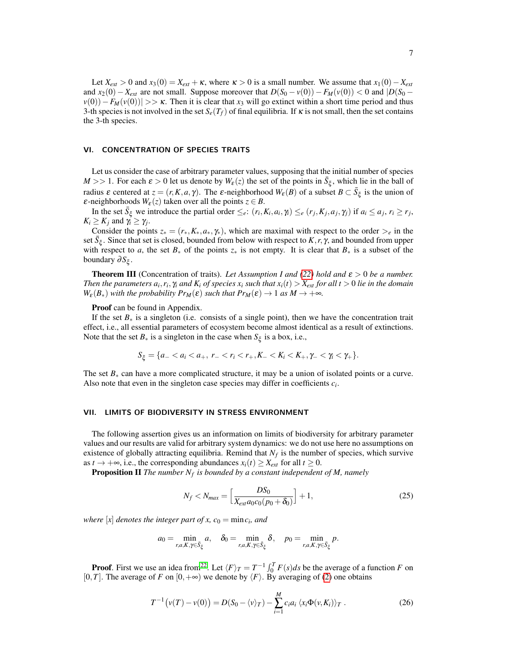Let  $X_{ext} > 0$  and  $x_3(0) = X_{ext} + \kappa$ , where  $\kappa > 0$  is a small number. We assume that  $x_1(0) - X_{ext}$ and  $x_2(0) - X_{ext}$  are not small. Suppose moreover that  $D(S_0 - v(0)) - F_M(v(0)) < 0$  and  $D(S_0 - v(0))$  $v(0)$ ) − *F<sub>M</sub>*( $v(0)$ )| >>  $\kappa$ . Then it is clear that *x*<sub>3</sub> will go extinct within a short time period and thus 3-th species is not involved in the set  $S_e(T_f)$  of final equilibria. If  $\kappa$  is not small, then the set contains the 3-th species.

#### VI. CONCENTRATION OF SPECIES TRAITS

Let us consider the case of arbitrary parameter values, supposing that the initial number of species  $M >> 1$ . For each  $\varepsilon > 0$  let us denote by  $W_{\varepsilon}(z)$  the set of the points in  $\bar{S}_{\xi}$ , which lie in the ball of radius  $\varepsilon$  centered at  $z = (r, K, a, \gamma)$ . The  $\varepsilon$ -neighborhood  $W_{\varepsilon}(B)$  of a subset  $B \subset \overline{S}_{\xi}$  is the union of *ε*-neighborhoods  $W_{\varepsilon}(z)$  taken over all the points  $z \in B$ .

In the set  $\bar{S}_{\xi}$  we introduce the partial order  $\leq_e$ :  $(r_i, K_i, a_i, \gamma_i) \leq_e (r_j, K_j, a_j, \gamma_j)$  if  $a_i \leq a_j, r_i \geq r_j$ ,  $K_i \geq K_j$  and  $\gamma_i \geq \gamma_j$ .

Consider the points  $z_* = (r_*, K_*, a_*, \gamma_*)$ , which are maximal with respect to the order  $\geq_e$  in the set  $\bar{S}_{\xi}$ . Since that set is closed, bounded from below with respect to *K*, *r*,  $\gamma$ , and bounded from upper with respect to *a*, the set  $B_*$  of the points  $z_*$  is not empty. It is clear that  $B_*$  is a subset of the boundary ∂*S*<sub>ξ</sub>.

**Theorem III** (Concentration of traits). Let Assumption I and [\(22\)](#page-5-0) hold and  $\varepsilon > 0$  be a number. *Then the parameters*  $a_i$ *,*  $r_i$ *,*  $\gamma_i$  *and*  $K_i$  *of species*  $x_i$  *such that*  $x_i(t) > X_{ext}$  *for all*  $t > 0$  *lie in the domain*  $W_{\varepsilon}(B_*)$  *with the probability*  $Pr_M(\varepsilon)$  *such that*  $Pr_M(\varepsilon) \to 1$  *as*  $M \to +\infty$ *.* 

#### Proof can be found in Appendix.

If the set  $B_*$  is a singleton (i.e. consists of a single point), then we have the concentration trait effect, i.e., all essential parameters of ecosystem become almost identical as a result of extinctions. Note that the set  $B_*$  is a singleton in the case when  $S_{\xi}$  is a box, i.e.,

$$
S_{\xi} = \{a_- < a_i < a_+, \ r_- < r_i < r_+, K_- < K_i < K_+, \gamma_- < \gamma_i < \gamma_+\}.
$$

The set  $B_*$  can have a more complicated structure, it may be a union of isolated points or a curve. Also note that even in the singleton case species may differ in coefficients  $c_i$ .

#### VII. LIMITS OF BIODIVERSITY IN STRESS ENVIRONMENT

The following assertion gives us an information on limits of biodiversity for arbitrary parameter values and our results are valid for arbitrary system dynamics: we do not use here no assumptions on existence of globally attracting equilibria. Remind that  $N_f$  is the number of species, which survive as  $t \to +\infty$ , i.e., the corresponding abundances  $x_i(t) \ge X_{ext}$  for all  $t \ge 0$ .

Proposition II *The number N<sup>f</sup> is bounded by a constant independent of M, namely*

<span id="page-6-1"></span>
$$
N_f < N_{max} = \left[ \frac{DS_0}{X_{ext} a_0 c_0 (p_0 + \delta_0)} \right] + 1,\tag{25}
$$

*where*  $[x]$  *denotes the integer part of x, c*<sub>0</sub> = min*c*<sub>*i</sub>, and*</sub>

$$
a_0 = \min_{r,a,K,\gamma \in \bar{S}_{\xi}} a, \quad \delta_0 = \min_{r,a,K,\gamma \in \bar{S}_{\xi}} \delta, \quad p_0 = \min_{r,a,K,\gamma \in \bar{S}_{\xi}} p.
$$

**Proof.** First we use an idea from<sup>[22](#page-16-18)</sup>. Let  $\langle F \rangle_T = T^{-1} \int_0^T F(s) ds$  be the average of a function *F* on [0,*T*]. The average of *F* on  $[0, +\infty)$  we denote by  $\langle F \rangle$ . By averaging of [\(2\)](#page-1-1) one obtains

<span id="page-6-0"></span>
$$
T^{-1}\big(\nu(T)-\nu(0)\big)=D(S_0-\langle\nu\rangle_T)-\sum_{i=1}^M c_i a_i \langle x_i \Phi(\nu,K_i)\rangle_T.
$$
 (26)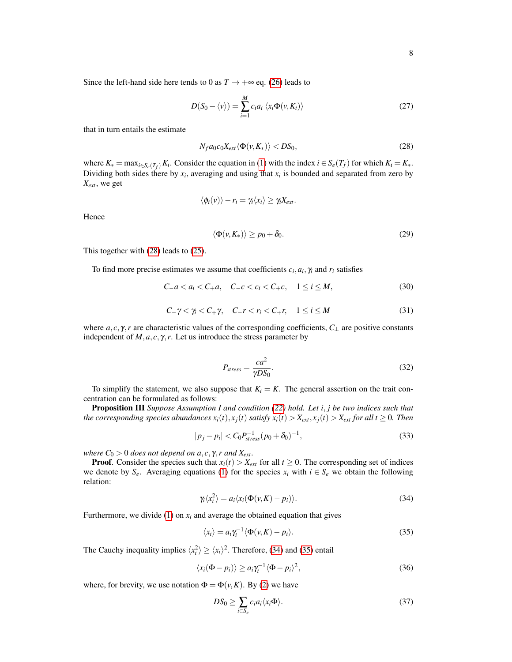Since the left-hand side here tends to 0 as  $T \rightarrow +\infty$  eq. [\(26\)](#page-6-0) leads to

$$
D(S_0 - \langle v \rangle) = \sum_{i=1}^{M} c_i a_i \langle x_i \Phi(v, K_i) \rangle
$$
 (27)

that in turn entails the estimate

<span id="page-7-0"></span>
$$
N_f a_0 c_0 X_{ext} \langle \Phi(\nu, K_*) \rangle < DS_0,\tag{28}
$$

where  $K_* = \max_{i \in S_e(T_f)} K_i$ . Consider the equation in [\(1\)](#page-1-0) with the index  $i \in S_e(T_f)$  for which  $K_i = K_*$ . Dividing both sides there by  $x_i$ , averaging and using that  $x_i$  is bounded and separated from zero by *Xext*, we get

$$
\langle \phi_i(v) \rangle - r_i = \gamma_i \langle x_i \rangle \geq \gamma_i X_{ext}.
$$

Hence

<span id="page-7-5"></span>
$$
\langle \Phi(\nu, K_*) \rangle \ge p_0 + \delta_0. \tag{29}
$$

This together with [\(28\)](#page-7-0) leads to [\(25\)](#page-6-1).

To find more precise estimates we assume that coefficients  $c_i$ ,  $a_i$ ,  $\gamma_i$  and  $r_i$  satisfies

$$
C_{-}a < a_i < C_{+}a, \quad C_{-}c < c_i < C_{+}c, \quad 1 \leq i \leq M,\tag{30}
$$

$$
C_{-}\gamma < \gamma_{i} < C_{+}\gamma, \quad C_{-}r < r_{i} < C_{+}r, \quad 1 \leq i \leq M \tag{31}
$$

where  $a, c, \gamma$ , *r* are characteristic values of the corresponding coefficients,  $C_{\pm}$  are positive constants independent of  $M$ ,  $a$ ,  $c$ ,  $\gamma$ ,  $r$ . Let us introduce the stress parameter by

$$
P_{stress} = \frac{ca^2}{\gamma DS_0}.
$$
\n(32)

To simplify the statement, we also suppose that  $K_i = K$ . The general assertion on the trait concentration can be formulated as follows:

Proposition III *Suppose Assumption I and condition [\(22\)](#page-5-0) hold. Let i*, *j be two indices such that* the corresponding species abundances  $x_i(t), x_j(t)$  satisfy  $x_i(t) > X_{ext}$ ,  $x_j(t) > X_{ext}$  for all  $t \ge 0$ . Then

<span id="page-7-6"></span>
$$
|p_j - p_i| < C_0 P_{stress}^{-1} (p_0 + \delta_0)^{-1},\tag{33}
$$

*where*  $C_0 > 0$  *does not depend on a, c,*  $\gamma$ *, r and*  $X_{ext}$ *.* 

**Proof.** Consider the species such that  $x_i(t) > X_{ext}$  for all  $t \ge 0$ . The corresponding set of indices we denote by  $S_e$ . Averaging equations [\(1\)](#page-1-0) for the species  $x_i$  with  $i \in S_e$  we obtain the following relation:

<span id="page-7-1"></span>
$$
\gamma_i \langle x_i^2 \rangle = a_i \langle x_i(\Phi(v, K) - p_i) \rangle. \tag{34}
$$

Furthermore, we divide  $(1)$  on  $x_i$  and average the obtained equation that gives

<span id="page-7-2"></span>
$$
\langle x_i \rangle = a_i \gamma_i^{-1} \langle \Phi(v, K) - p_i \rangle.
$$
 (35)

The Cauchy inequality implies  $\langle x_i^2 \rangle \ge \langle x_i \rangle^2$ . Therefore, [\(34\)](#page-7-1) and [\(35\)](#page-7-2) entail

<span id="page-7-3"></span>
$$
\langle x_i(\Phi - p_i) \rangle \ge a_i \gamma_i^{-1} \langle \Phi - p_i \rangle^2,
$$
\n(36)

where, for brevity, we use notation  $\Phi = \Phi(\nu, K)$ . By [\(2\)](#page-1-1) we have

<span id="page-7-4"></span>
$$
DS_0 \ge \sum_{i \in S_e} c_i a_i \langle x_i \Phi \rangle. \tag{37}
$$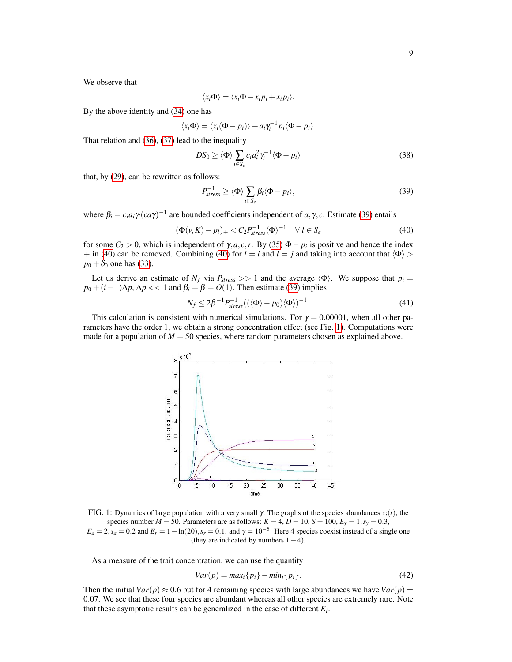We observe that

$$
\langle x_i \Phi \rangle = \langle x_i \Phi - x_i p_i + x_i p_i \rangle.
$$

By the above identity and [\(34\)](#page-7-1) one has

$$
\langle x_i\Phi\rangle=\langle x_i(\Phi-p_i)\rangle+a_i\gamma_i^{-1}p_i\langle \Phi-p_i\rangle.
$$

That relation and [\(36\)](#page-7-3), [\(37\)](#page-7-4) lead to the inequality

$$
DS_0 \ge \langle \Phi \rangle \sum_{i \in S_e} c_i a_i^2 \gamma_i^{-1} \langle \Phi - p_i \rangle \tag{38}
$$

that, by [\(29\)](#page-7-5), can be rewritten as follows:

<span id="page-8-0"></span>
$$
P_{stress}^{-1} \ge \langle \Phi \rangle \sum_{i \in S_e} \beta_i \langle \Phi - p_i \rangle, \tag{39}
$$

where  $\beta_i = c_i a_i \gamma_i (ca\gamma)^{-1}$  are bounded coefficients independent of *a*,  $\gamma$ , *c*. Estimate [\(39\)](#page-8-0) entails

<span id="page-8-1"></span>
$$
(\Phi(\nu, K) - p_l)_+ < C_2 P_{stress}^{-1} \langle \Phi \rangle^{-1} \quad \forall \ l \in S_e \tag{40}
$$

for some  $C_2 > 0$ , which is independent of  $\gamma$ , *a*, *c*, *r*. By [\(35\)](#page-7-2)  $\Phi - p_i$  is positive and hence the index + in [\(40\)](#page-8-1) can be removed. Combining (40) for  $l = i$  and  $l = j$  and taking into account that  $\langle \Phi \rangle$  $p_0 + \delta_0$  one has [\(33\)](#page-7-6).

Let us derive an estimate of  $N_f$  via  $P_{stress} >> 1$  and the average  $\langle \Phi \rangle$ . We suppose that  $p_i =$  $p_0 + (i-1)\Delta p$ ,  $\Delta p \ll 1$  and  $\beta_i = \beta = O(1)$ . Then estimate [\(39\)](#page-8-0) implies

$$
N_f \le 2\beta^{-1} P_{stress}^{-1}((\langle \Phi \rangle - p_0) \langle \Phi \rangle)^{-1}.
$$
 (41)

<span id="page-8-2"></span>This calculation is consistent with numerical simulations. For  $\gamma = 0.00001$ , when all other parameters have the order 1, we obtain a strong concentration effect (see Fig. [1\)](#page-8-2). Computations were made for a population of  $M = 50$  species, where random parameters chosen as explained above.



FIG. 1: Dynamics of large population with a very small γ. The graphs of the species abundances *xi*(*t*), the species number  $M = 50$ . Parameters are as follows:  $K = 4$ ,  $D = 10$ ,  $S = 100$ ,  $E_y = 1$ ,  $s_y = 0.3$ ,  $E_a = 2$ ,  $s_a = 0.2$  and  $E_r = 1 - \ln(20)$ ,  $s_r = 0.1$ . and  $\gamma = 10^{-5}$ . Here 4 species coexist instead of a single one (they are indicated by numbers  $1-4$ ).

As a measure of the trait concentration, we can use the quantity

<span id="page-8-3"></span>
$$
Var(p) = max_i \{p_i\} - min_i \{p_i\}.
$$
\n
$$
(42)
$$

Then the initial  $Var(p) \approx 0.6$  but for 4 remaining species with large abundances we have  $Var(p)$ 0.07. We see that these four species are abundant whereas all other species are extremely rare. Note that these asymptotic results can be generalized in the case of different  $K_i$ .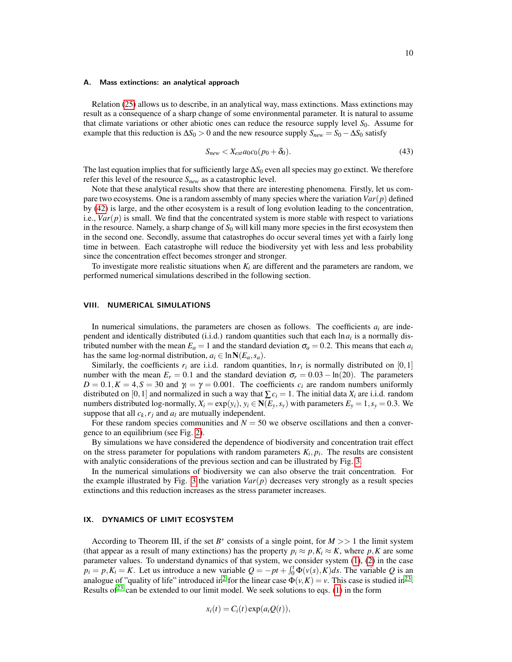#### A. Mass extinctions: an analytical approach

Relation [\(25\)](#page-6-1) allows us to describe, in an analytical way, mass extinctions. Mass extinctions may result as a consequence of a sharp change of some environmental parameter. It is natural to assume that climate variations or other abiotic ones can reduce the resource supply level *S*0. Assume for example that this reduction is  $\Delta S_0 > 0$  and the new resource supply  $S_{new} = S_0 - \Delta S_0$  satisfy

$$
S_{new} < X_{ext} a_0 c_0 (p_0 + \delta_0). \tag{43}
$$

The last equation implies that for sufficiently large ∆*S*<sup>0</sup> even all species may go extinct. We therefore refer this level of the resource *Snew* as a catastrophic level.

Note that these analytical results show that there are interesting phenomena. Firstly, let us compare two ecosystems. One is a random assembly of many species where the variation*Var*(*p*) defined by [\(42\)](#page-8-3) is large, and the other ecosystem is a result of long evolution leading to the concentration, i.e.,  $Var(p)$  is small. We find that the concentrated system is more stable with respect to variations in the resource. Namely, a sharp change of  $S_0$  will kill many more species in the first ecosystem then in the second one. Secondly, assume that catastrophes do occur several times yet with a fairly long time in between. Each catastrophe will reduce the biodiversity yet with less and less probability since the concentration effect becomes stronger and stronger.

To investigate more realistic situations when  $K_i$  are different and the parameters are random, we performed numerical simulations described in the following section.

# VIII. NUMERICAL SIMULATIONS

In numerical simulations, the parameters are chosen as follows. The coefficients  $a_i$  are independent and identically distributed (i.i.d.) random quantities such that each  $\ln a_i$  is a normally distributed number with the mean  $E_a = 1$  and the standard deviation  $\sigma_a = 0.2$ . This means that each  $a_i$ has the same log-normal distribution,  $a_i \in \ln N(E_a, s_a)$ .

Similarly, the coefficients  $r_i$  are i.i.d. random quantities,  $\ln r_i$  is normally distributed on [0,1] number with the mean  $E_r = 0.1$  and the standard deviation  $\sigma_r = 0.03 - \ln(20)$ . The parameters  $D = 0.1, K = 4, S = 30$  and  $\gamma_i = \gamma = 0.001$ . The coefficients  $c_i$  are random numbers uniformly distributed on [0, 1] and normalized in such a way that  $\sum c_i = 1$ . The initial data  $X_i$  are i.i.d. random numbers distributed log-normally,  $X_i = \exp(y_i)$ ,  $y_i \in N(E_y, s_y)$  with parameters  $E_y = 1$ ,  $s_y = 0.3$ . We suppose that all  $c_k$ ,  $r_j$  and  $a_l$  are mutually independent.

For these random species communities and  $N = 50$  we observe oscillations and then a convergence to an equilibrium (see Fig. [2\)](#page-10-0).

By simulations we have considered the dependence of biodiversity and concentration trait effect on the stress parameter for populations with random parameters  $K_i$ ,  $p_i$ . The results are consistent with analytic considerations of the previous section and can be illustrated by Fig. [3.](#page-10-1)

In the numerical simulations of biodiversity we can also observe the trait concentration. For the example illustrated by Fig. [3](#page-10-1) the variation  $Var(p)$  decreases very strongly as a result species extinctions and this reduction increases as the stress parameter increases.

## <span id="page-9-0"></span>IX. DYNAMICS OF LIMIT ECOSYSTEM

According to Theorem III, if the set  $B^*$  consists of a single point, for  $M \gg 1$  the limit system (that appear as a result of many extinctions) has the property  $p_i \approx p, K_i \approx K$ , where p, K are some parameter values. To understand dynamics of that system, we consider system [\(1\)](#page-1-0), [\(2\)](#page-1-1) in the case  $p_i = p, K_i = K$ . Let us introduce a new variable  $Q = -pt + \int_0^t \Phi(v(s), K) ds$ . The variable *Q* is an analogue of "quality of life" introduced in<sup>[2](#page-16-1)</sup> for the linear case  $\Phi(v,K) = v$ . This case is studied in<sup>[23](#page-16-19)</sup>. Results of  $2^3$  can be extended to our limit model. We seek solutions to eqs. [\(1\)](#page-1-0) in the form

$$
x_i(t) = C_i(t) \exp(a_i Q(t)),
$$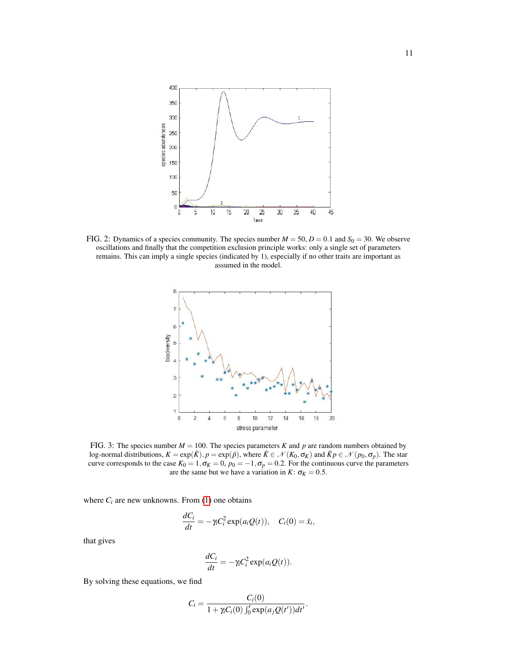<span id="page-10-0"></span>

<span id="page-10-1"></span>FIG. 2: Dynamics of a species community. The species number  $M = 50$ ,  $D = 0.1$  and  $S_0 = 30$ . We observe oscillations and finally that the competition exclusion principle works: only a single set of parameters remains. This can imply a single species (indicated by 1), especially if no other traits are important as assumed in the model.



FIG. 3: The species number  $M = 100$ . The species parameters *K* and *p* are random numbers obtained by log-normal distributions,  $K = \exp(\tilde{K})$ ,  $p = \exp(\tilde{p})$ , where  $\tilde{K} \in \mathcal{N}(K_0, \sigma_K)$  and  $\tilde{K}p \in \mathcal{N}(p_0, \sigma_p)$ . The star curve corresponds to the case  $K_0 = 1$ ,  $\sigma_K = 0$ ,  $p_0 = -1$ ,  $\sigma_p = 0.2$ . For the continuous curve the parameters are the same but we have a variation in *K*:  $\sigma_K = 0.5$ .

where  $C_i$  are new unknowns. From  $(1)$  one obtains

$$
\frac{dC_i}{dt} = -\gamma_i C_i^2 \exp(a_i Q(t)), \quad C_i(0) = \bar{x}_i,
$$

that gives

$$
\frac{dC_i}{dt} = -\gamma_i C_i^2 \exp(a_i Q(t)).
$$

By solving these equations, we find

$$
C_i = \frac{C_i(0)}{1 + \gamma_i C_i(0) \int_0^t \exp(a_j Q(t')) dt'}
$$

.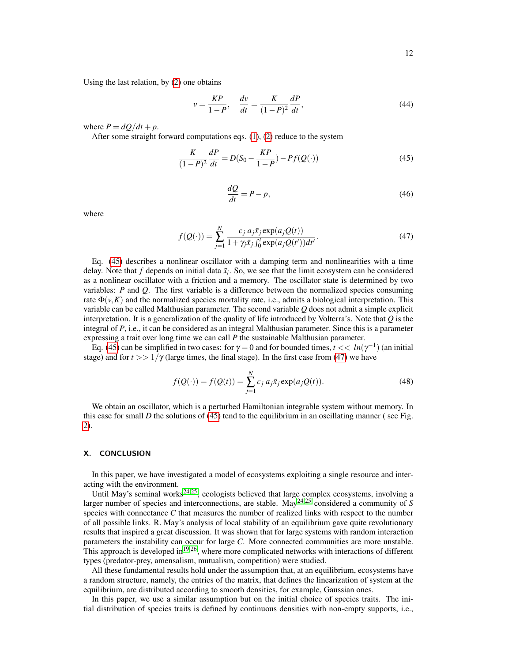Using the last relation, by [\(2\)](#page-1-1) one obtains

$$
v = \frac{KP}{1 - P}, \quad \frac{dv}{dt} = \frac{K}{(1 - P)^2} \frac{dP}{dt},\tag{44}
$$

where  $P = dQ/dt + p$ .

After some straight forward computations eqs.  $(1)$ ,  $(2)$  reduce to the system

<span id="page-11-0"></span>
$$
\frac{K}{(1-P)^2}\frac{dP}{dt} = D(S_0 - \frac{KP}{1-P}) - Pf(Q(\cdot))\tag{45}
$$

$$
\frac{dQ}{dt} = P - p,\tag{46}
$$

where

<span id="page-11-1"></span>
$$
f(Q(\cdot)) = \sum_{j=1}^{N} \frac{c_j \, a_j \bar{x}_j \exp(a_j Q(t))}{1 + \gamma_j \bar{x}_j \int_0^t \exp(a_j Q(t')) dt'}.
$$
 (47)

Eq. [\(45\)](#page-11-0) describes a nonlinear oscillator with a damping term and nonlinearities with a time delay. Note that  $f$  depends on initial data  $\bar{x}_i$ . So, we see that the limit ecosystem can be considered as a nonlinear oscillator with a friction and a memory. The oscillator state is determined by two variables: *P* and *Q*. The first variable is a difference between the normalized species consuming rate  $\Phi(v, K)$  and the normalized species mortality rate, i.e., admits a biological interpretation. This variable can be called Malthusian parameter. The second variable *Q* does not admit a simple explicit interpretation. It is a generalization of the quality of life introduced by Volterra's. Note that *Q* is the integral of *P*, i.e., it can be considered as an integral Malthusian parameter. Since this is a parameter expressing a trait over long time we can call *P* the sustainable Malthusian parameter.

Eq. [\(45\)](#page-11-0) can be simplified in two cases: for  $\gamma = 0$  and for bounded times,  $t \ll ln(\gamma^{-1})$  (an initial stage) and for  $t \gg 1/\gamma$  (large times, the final stage). In the first case from [\(47\)](#page-11-1) we have

$$
f(Q(\cdot)) = f(Q(t)) = \sum_{j=1}^{N} c_j a_j \bar{x}_j \exp(a_j Q(t)).
$$
 (48)

We obtain an oscillator, which is a perturbed Hamiltonian integrable system without memory. In this case for small  $D$  the solutions of [\(45\)](#page-11-0) tend to the equilibrium in an oscillating manner (see Fig. [2\)](#page-10-0).

## X. CONCLUSION

In this paper, we have investigated a model of ecosystems exploiting a single resource and interacting with the environment.

Until May's seminal works<sup>[24](#page-16-20)[,25](#page-16-21)</sup>, ecologists believed that large complex ecosystems, involving a larger number of species and interconnections, are stable. May<sup>[24,](#page-16-20)[25](#page-16-21)</sup> considered a community of *S* species with connectance *C* that measures the number of realized links with respect to the number of all possible links. R. May's analysis of local stability of an equilibrium gave quite revolutionary results that inspired a great discussion. It was shown that for large systems with random interaction parameters the instability can occur for large *C*. More connected communities are more unstable. This approach is developed in<sup>[19](#page-16-15)[,26](#page-16-22)</sup>, where more complicated networks with interactions of different types (predator-prey, amensalism, mutualism, competition) were studied.

All these fundamental results hold under the assumption that, at an equilibrium, ecosystems have a random structure, namely, the entries of the matrix, that defines the linearization of system at the equilibrium, are distributed according to smooth densities, for example, Gaussian ones.

In this paper, we use a similar assumption but on the initial choice of species traits. The initial distribution of species traits is defined by continuous densities with non-empty supports, i.e.,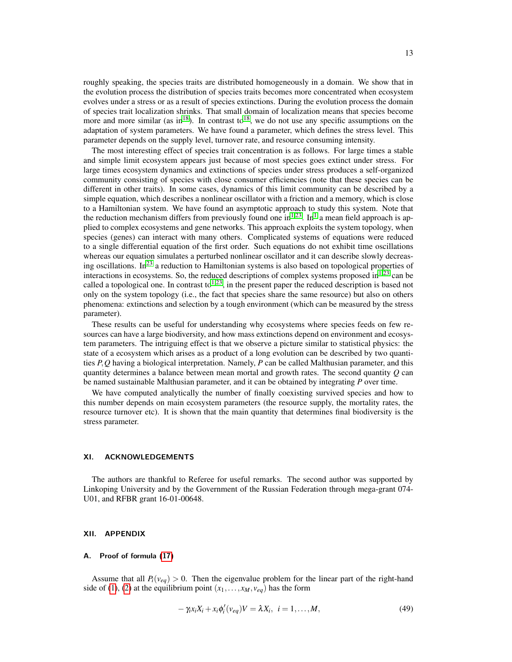roughly speaking, the species traits are distributed homogeneously in a domain. We show that in the evolution process the distribution of species traits becomes more concentrated when ecosystem evolves under a stress or as a result of species extinctions. During the evolution process the domain of species trait localization shrinks. That small domain of localization means that species become more and more similar (as in<sup>[18](#page-16-14)</sup>). In contrast to<sup>18</sup>, we do not use any specific assumptions on the adaptation of system parameters. We have found a parameter, which defines the stress level. This parameter depends on the supply level, turnover rate, and resource consuming intensity.

The most interesting effect of species trait concentration is as follows. For large times a stable and simple limit ecosystem appears just because of most species goes extinct under stress. For large times ecosystem dynamics and extinctions of species under stress produces a self-organized community consisting of species with close consumer efficiencies (note that these species can be different in other traits). In some cases, dynamics of this limit community can be described by a simple equation, which describes a nonlinear oscillator with a friction and a memory, which is close to a Hamiltonian system. We have found an asymptotic approach to study this system. Note that the reduction mechanism differs from previously found one in<sup>[1,](#page-16-0)[23](#page-16-19)</sup>. In<sup>[1](#page-16-0)</sup> a mean field approach is applied to complex ecosystems and gene networks. This approach exploits the system topology, when species (genes) can interact with many others. Complicated systems of equations were reduced to a single differential equation of the first order. Such equations do not exhibit time oscillations whereas our equation simulates a perturbed nonlinear oscillator and it can describe slowly decreas-ing oscillations. In<sup>[23](#page-16-19)</sup> a reduction to Hamiltonian systems is also based on topological properties of interactions in ecosystems. So, the reduced descriptions of complex systems proposed in $1,23$  $1,23$  can be called a topological one. In contrast to<sup>[1](#page-16-0)[,23](#page-16-19)</sup>, in the present paper the reduced description is based not only on the system topology (i.e., the fact that species share the same resource) but also on others phenomena: extinctions and selection by a tough environment (which can be measured by the stress parameter).

These results can be useful for understanding why ecosystems where species feeds on few resources can have a large biodiversity, and how mass extinctions depend on environment and ecosystem parameters. The intriguing effect is that we observe a picture similar to statistical physics: the state of a ecosystem which arises as a product of a long evolution can be described by two quantities *P*,*Q* having a biological interpretation. Namely, *P* can be called Malthusian parameter, and this quantity determines a balance between mean mortal and growth rates. The second quantity *Q* can be named sustainable Malthusian parameter, and it can be obtained by integrating *P* over time.

We have computed analytically the number of finally coexisting survived species and how to this number depends on main ecosystem parameters (the resource supply, the mortality rates, the resource turnover etc). It is shown that the main quantity that determines final biodiversity is the stress parameter.

## XI. ACKNOWLEDGEMENTS

The authors are thankful to Referee for useful remarks. The second author was supported by Linkoping University and by the Government of the Russian Federation through mega-grant 074- U01, and RFBR grant 16-01-00648.

# XII. APPENDIX

## A. Proof of formula [\(17\)](#page-4-0)

<span id="page-12-0"></span>Assume that all  $P_i(\nu_{eq}) > 0$ . Then the eigenvalue problem for the linear part of the right-hand side of [\(1\)](#page-1-0), [\(2\)](#page-1-1) at the equilibrium point  $(x_1,...,x_M, v_{eq})$  has the form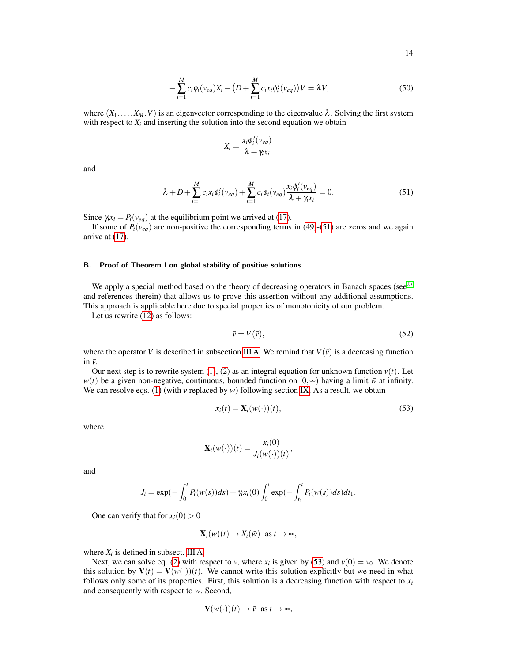$$
-\sum_{i=1}^{M} c_{i} \phi_{i}(\nu_{eq}) X_{i} - \big(D + \sum_{i=1}^{M} c_{i} x_{i} \phi'_{i}(\nu_{eq})\big)V = \lambda V,
$$
\n(50)

where  $(X_1,...,X_M,V)$  is an eigenvector corresponding to the eigenvalue  $\lambda$ . Solving the first system with respect to  $X_i$  and inserting the solution into the second equation we obtain

$$
X_i = \frac{x_i \phi'_i(v_{eq})}{\lambda + \gamma_i x_i}
$$

and

<span id="page-13-0"></span>
$$
\lambda + D + \sum_{i=1}^{M} c_i x_i \phi'_i (v_{eq}) + \sum_{i=1}^{M} c_i \phi_i (v_{eq}) \frac{x_i \phi'_i (v_{eq})}{\lambda + \gamma_i x_i} = 0.
$$
\n
$$
(51)
$$

Since  $\gamma_i x_i = P_i(v_{eq})$  at the equilibrium point we arrived at [\(17\)](#page-4-0).

If some of  $P_i(v_{eq})$  are non-positive the corresponding terms in [\(49\)](#page-12-0)-[\(51\)](#page-13-0) are zeros and we again arrive at [\(17\)](#page-4-0).

## B. Proof of Theorem I on global stability of positive solutions

We apply a special method based on the theory of decreasing operators in Banach spaces (see $^{27}$  $^{27}$  $^{27}$ and references therein) that allows us to prove this assertion without any additional assumptions. This approach is applicable here due to special properties of monotonicity of our problem.

Let us rewrite [\(12\)](#page-3-1) as follows:

$$
\bar{v} = V(\bar{v}),\tag{52}
$$

where the operator *V* is described in subsection [III A.](#page-2-5) We remind that  $V(\bar{v})$  is a decreasing function in  $\bar{v}$ .

Our next step is to rewrite system [\(1\)](#page-1-0), [\(2\)](#page-1-1) as an integral equation for unknown function  $v(t)$ . Let *w*(*t*) be a given non-negative, continuous, bounded function on  $[0, \infty)$  having a limit  $\bar{w}$  at infinity. We can resolve eqs. [\(1\)](#page-1-0) (with  $\nu$  replaced by  $\nu$ ) following section [IX.](#page-9-0) As a result, we obtain

<span id="page-13-1"></span>
$$
x_i(t) = \mathbf{X}_i(w(\cdot))(t),\tag{53}
$$

where

$$
\mathbf{X}_i(w(\cdot))(t) = \frac{x_i(0)}{J_i(w(\cdot))(t)},
$$

and

$$
J_i = \exp(-\int_0^t P_i(w(s))ds) + \gamma_i x_i(0) \int_0^t \exp(-\int_{t_1}^t P_i(w(s))ds)dt_1.
$$

One can verify that for  $x_i(0) > 0$ 

$$
\mathbf{X}_i(w)(t) \to X_i(\bar{w}) \text{ as } t \to \infty,
$$

where  $X_i$  is defined in subsect. [III A](#page-2-5)

Next, we can solve eq. [\(2\)](#page-1-1) with respect to *v*, where  $x_i$  is given by [\(53\)](#page-13-1) and  $v(0) = v_0$ . We denote this solution by  $V(t) = V(w(\cdot))(t)$ . We cannot write this solution explicitly but we need in what follows only some of its properties. First, this solution is a decreasing function with respect to  $x_i$ and consequently with respect to *w*. Second,

$$
\mathbf{V}(w(\cdot))(t) \to \bar{v} \text{ as } t \to \infty,
$$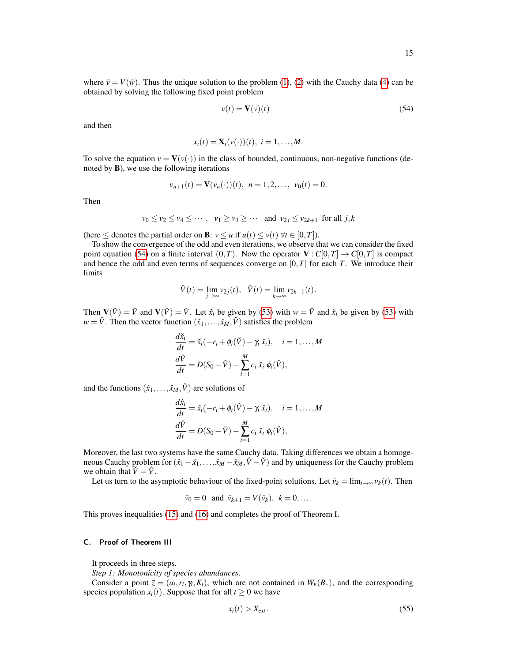where  $\bar{v} = V(\bar{w})$ . Thus the unique solution to the problem [\(1\)](#page-1-0), [\(2\)](#page-1-1) with the Cauchy data [\(4\)](#page-2-0) can be obtained by solving the following fixed point problem

<span id="page-14-0"></span>
$$
v(t) = \mathbf{V}(v)(t) \tag{54}
$$

and then

$$
x_i(t) = \mathbf{X}_i(v(\cdot))(t), i = 1,\ldots,M.
$$

To solve the equation  $v = V(v(\cdot))$  in the class of bounded, continuous, non-negative functions (denoted by B), we use the following iterations

$$
v_{n+1}(t) = \mathbf{V}(v_n(\cdot))(t), \ \ n = 1, 2, \dots, \ \ v_0(t) = 0.
$$

Then

$$
v_0 \le v_2 \le v_4 \le \cdots
$$
,  $v_1 \ge v_3 \ge \cdots$  and  $v_{2j} \le v_{2k+1}$  for all j, k

(here  $\leq$  denotes the partial order on **B**:  $v \leq u$  if  $u(t) \leq v(t) \ \forall t \in [0, T]$ ).

To show the convergence of the odd and even iterations, we observe that we can consider the fixed point equation [\(54\)](#page-14-0) on a finite interval  $(0,T)$ . Now the operator  $V : C[0,T] \to C[0,T]$  is compact and hence the odd and even terms of sequences converge on  $[0, T]$  for each *T*. We introduce their limits

$$
\check{V}(t) = \lim_{j \to \infty} v_{2j}(t), \quad \hat{V}(t) = \lim_{k \to \infty} v_{2k+1}(t).
$$

Then  $V(V) = \hat{V}$  and  $V(V) = \check{V}$ . Let  $\hat{x}_i$  be given by [\(53\)](#page-13-1) with  $w = \hat{V}$  and  $\check{x}_i$  be given by (53) with  $w = \check{V}$ . Then the vector function  $(\check{x}_1, \ldots, \check{x}_M, \hat{V})$  satisfies the problem

$$
\frac{d\check{x}_i}{dt} = \check{x}_i(-r_i + \phi_i(\check{V}) - \gamma_i \check{x}_i), \quad i = 1, ..., M
$$
  

$$
\frac{d\hat{V}}{dt} = D(S_0 - \hat{V}) - \sum_{i=1}^{M} c_i \check{x}_i \phi_i(\hat{V}),
$$

and the functions  $(\hat{x}_1, \ldots, \hat{x}_M, \check{V})$  are solutions of

$$
\frac{d\hat{x}_i}{dt} = \hat{x}_i(-r_i + \phi_i(\hat{V}) - \gamma_i \hat{x}_i), \quad i = 1, ..., M
$$
  

$$
\frac{d\check{V}}{dt} = D(S_0 - \check{V}) - \sum_{i=1}^{M} c_i \hat{x}_i \phi_i(\check{V}),
$$

Moreover, the last two systems have the same Cauchy data. Taking differences we obtain a homogeneous Cauchy problem for  $(\hat{x}_1 - \check{x}_1, \ldots, \hat{x}_M - \check{x}_M, \hat{V} - \check{V})$  and by uniqueness for the Cauchy problem we obtain that  $\check{V} = \hat{V}$ .

Let us turn to the asymptotic behaviour of the fixed-point solutions. Let  $\bar{v}_k = \lim_{t \to \infty} v_k(t)$ . Then

$$
\bar{v}_0 = 0
$$
 and  $\bar{v}_{k+1} = V(\bar{v}_k), k = 0, \dots$ 

This proves inequalities [\(15\)](#page-3-2) and [\(16\)](#page-3-3) and completes the proof of Theorem I.

#### C. Proof of Theorem III

It proceeds in three steps.

*Step 1: Monotonicity of species abundances*.

Consider a point  $\bar{z} = (a_i, r_i, \gamma_i, K_i)$ , which are not contained in  $W_{\varepsilon}(B_*)$ , and the corresponding species population  $x_i(t)$ . Suppose that for all  $t \geq 0$  we have

$$
x_i(t) > X_{ext}.\tag{55}
$$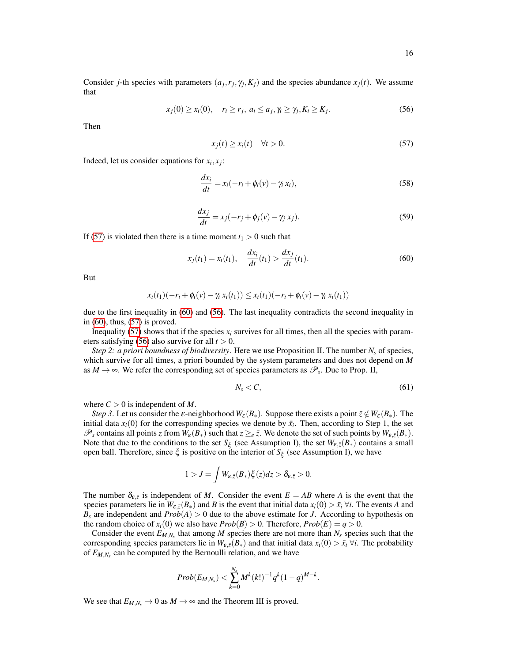Consider *j*-th species with parameters  $(a_j, r_j, \gamma_j, K_j)$  and the species abundance  $x_j(t)$ . We assume that

<span id="page-15-2"></span>
$$
x_j(0) \ge x_i(0), \quad r_i \ge r_j, \ a_i \le a_j, \gamma_i \ge \gamma_j, K_i \ge K_j. \tag{56}
$$

Then

<span id="page-15-0"></span>
$$
x_j(t) \ge x_i(t) \quad \forall t > 0. \tag{57}
$$

Indeed, let us consider equations for  $x_i, x_j$ :

$$
\frac{dx_i}{dt} = x_i(-r_i + \phi_i(v) - \gamma_i x_i),\tag{58}
$$

$$
\frac{dx_j}{dt} = x_j(-r_j + \phi_j(v) - \gamma_j x_j). \tag{59}
$$

If [\(57\)](#page-15-0) is violated then there is a time moment  $t_1 > 0$  such that

<span id="page-15-1"></span>
$$
x_j(t_1) = x_i(t_1), \quad \frac{dx_i}{dt}(t_1) > \frac{dx_j}{dt}(t_1).
$$
 (60)

But

$$
x_i(t_1)(-r_i + \phi_i(v) - \gamma_i x_i(t_1)) \leq x_i(t_1)(-r_i + \phi_i(v) - \gamma_i x_i(t_1))
$$

due to the first inequality in [\(60\)](#page-15-1) and [\(56\)](#page-15-2). The last inequality contradicts the second inequality in in [\(60\)](#page-15-1), thus, [\(57\)](#page-15-0) is proved.

Inequality [\(57\)](#page-15-0) shows that if the species  $x_i$  survives for all times, then all the species with param-eters satisfying [\(56\)](#page-15-2) also survive for all  $t > 0$ .

*Step 2: a priori boundness of biodiversity*. Here we use Proposition II. The number *N<sup>s</sup>* of species, which survive for all times, a priori bounded by the system parameters and does not depend on *M* as  $M \to \infty$ . We refer the corresponding set of species parameters as  $\mathscr{P}_s$ . Due to Prop. II,

$$
N_s < C,\tag{61}
$$

where  $C > 0$  is independent of M.

*Step 3*. Let us consider the  $\varepsilon$ -neighborhood  $W_{\varepsilon}(B_*)$ . Suppose there exists a point  $\overline{z} \notin W_{\varepsilon}(B_*)$ . The initial data  $x_i(0)$  for the corresponding species we denote by  $\bar{x}_i$ . Then, according to Step 1, the set  $\mathscr{P}_s$  contains all points *z* from  $W_{\varepsilon}(B_*)$  such that  $z \geq_e \overline{z}$ . We denote the set of such points by  $W_{\varepsilon,\overline{z}}(B_*)$ . Note that due to the conditions to the set  $S_\xi$  (see Assumption I), the set  $W_{\varepsilon,\overline{\zeta}}(B_*)$  contains a small open ball. Therefore, since ξ is positive on the interior of *S*<sup>ξ</sup> (see Assumption I), we have

$$
1 > J = \int W_{\varepsilon,\bar{z}}(B_*)\xi(z)dz > \delta_{\varepsilon,\bar{z}} > 0.
$$

The number  $\delta_{\varepsilon,\bar{z}}$  is independent of *M*. Consider the event *E* = *AB* where *A* is the event that the species parameters lie in  $W_{\varepsilon,z}(B_*)$  and *B* is the event that initial data  $x_i(0) > \bar{x}_i \,\forall i$ . The events *A* and  $B_s$  are independent and  $Prob(A) > 0$  due to the above estimate for *J*. According to hypothesis on the random choice of  $x_i(0)$  we also have  $Prob(B) > 0$ . Therefore,  $Prob(E) = q > 0$ .

Consider the event  $E_{M,N_s}$  that among M species there are not more than  $N_s$  species such that the corresponding species parameters lie in  $W_{\varepsilon,\bar{z}}(B_*)$  and that initial data  $x_i(0) > \bar{x}_i \,\forall i$ . The probability of *EM*,*N<sup>s</sup>* can be computed by the Bernoulli relation, and we have

$$
Prob(E_{M,N_s}) < \sum_{k=0}^{N_s} M^k(k!)^{-1} q^k (1-q)^{M-k}.
$$

We see that  $E_{M,N_s} \to 0$  as  $M \to \infty$  and the Theorem III is proved.